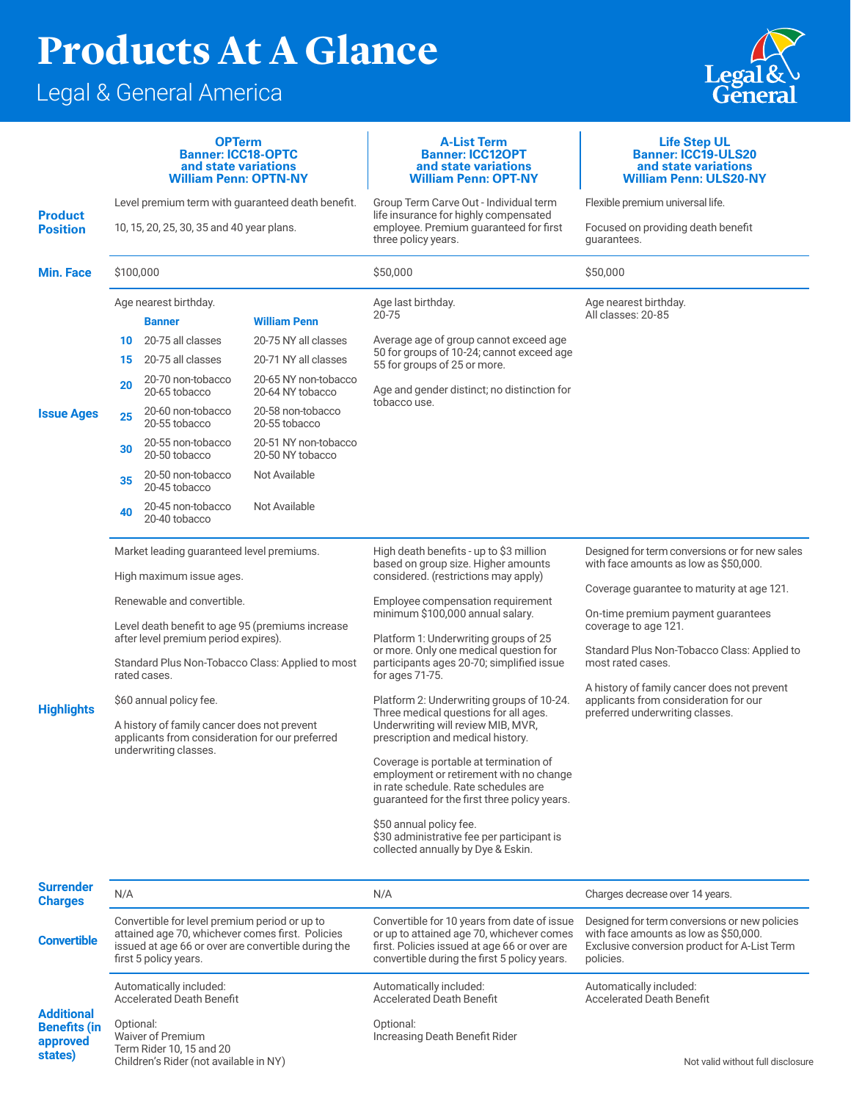## **Products At A Glance**

## Legal & General America

Children's Rider (not available in NY)



|                                                      | <b>OPTerm</b><br><b>Banner: ICC18-OPTC</b><br>and state variations<br><b>William Penn: OPTN-NY</b>                               |                                    |                                                                                          | <b>A-List Term</b><br><b>Banner: ICC12OPT</b><br>and state variations<br><b>William Penn: OPT-NY</b>                                                                                     | <b>Life Step UL</b><br><b>Banner: ICC19-ULS20</b><br>and state variations<br><b>William Penn: ULS20-NY</b>                                                                                  |
|------------------------------------------------------|----------------------------------------------------------------------------------------------------------------------------------|------------------------------------|------------------------------------------------------------------------------------------|------------------------------------------------------------------------------------------------------------------------------------------------------------------------------------------|---------------------------------------------------------------------------------------------------------------------------------------------------------------------------------------------|
| <b>Product</b><br><b>Position</b>                    | Level premium term with guaranteed death benefit.                                                                                |                                    |                                                                                          | Group Term Carve Out - Individual term<br>life insurance for highly compensated<br>employee. Premium guaranteed for first<br>three policy years.                                         | Flexible premium universal life.                                                                                                                                                            |
|                                                      | 10, 15, 20, 25, 30, 35 and 40 year plans.                                                                                        |                                    |                                                                                          |                                                                                                                                                                                          | Focused on providing death benefit<br>guarantees.                                                                                                                                           |
| <b>Min. Face</b>                                     | \$100,000                                                                                                                        |                                    |                                                                                          | \$50,000                                                                                                                                                                                 | \$50,000                                                                                                                                                                                    |
| <b>Issue Ages</b>                                    | Age nearest birthday.                                                                                                            |                                    |                                                                                          | Age last birthday.                                                                                                                                                                       | Age nearest birthday.                                                                                                                                                                       |
|                                                      | <b>William Penn</b><br><b>Banner</b>                                                                                             |                                    |                                                                                          | 20-75                                                                                                                                                                                    | All classes: 20-85                                                                                                                                                                          |
|                                                      | 10                                                                                                                               | 20-75 all classes                  | 20-75 NY all classes<br>20-71 NY all classes<br>20-65 NY non-tobacco<br>20-64 NY tobacco | Average age of group cannot exceed age<br>50 for groups of 10-24; cannot exceed age<br>55 for groups of 25 or more.                                                                      |                                                                                                                                                                                             |
|                                                      | 15                                                                                                                               | 20-75 all classes                  |                                                                                          |                                                                                                                                                                                          |                                                                                                                                                                                             |
|                                                      | 20                                                                                                                               | 20-70 non-tobacco<br>20-65 tobacco |                                                                                          | Age and gender distinct; no distinction for<br>tobacco use.                                                                                                                              |                                                                                                                                                                                             |
|                                                      | 25                                                                                                                               | 20-60 non-tobacco<br>20-55 tobacco | 20-58 non-tobacco<br>20-55 tobacco                                                       |                                                                                                                                                                                          |                                                                                                                                                                                             |
|                                                      | 30                                                                                                                               | 20-55 non-tobacco<br>20-50 tobacco | 20-51 NY non-tobacco<br>20-50 NY tobacco                                                 |                                                                                                                                                                                          |                                                                                                                                                                                             |
|                                                      | 35                                                                                                                               | 20-50 non-tobacco<br>20-45 tobacco | Not Available                                                                            |                                                                                                                                                                                          |                                                                                                                                                                                             |
|                                                      | 40                                                                                                                               | 20-45 non-tobacco<br>20-40 tobacco | Not Available                                                                            |                                                                                                                                                                                          |                                                                                                                                                                                             |
| <b>Highlights</b>                                    | Market leading guaranteed level premiums.                                                                                        |                                    |                                                                                          | High death benefits - up to \$3 million<br>based on group size. Higher amounts<br>considered. (restrictions may apply)                                                                   | Designed for term conversions or for new sales<br>with face amounts as low as \$50,000.                                                                                                     |
|                                                      | High maximum issue ages.                                                                                                         |                                    |                                                                                          |                                                                                                                                                                                          | Coverage guarantee to maturity at age 121.                                                                                                                                                  |
|                                                      | Renewable and convertible.                                                                                                       |                                    |                                                                                          | Employee compensation requirement                                                                                                                                                        |                                                                                                                                                                                             |
|                                                      | Level death benefit to age 95 (premiums increase<br>after level premium period expires).                                         |                                    |                                                                                          | minimum \$100,000 annual salary.<br>Platform 1: Underwriting groups of 25                                                                                                                | On-time premium payment guarantees<br>coverage to age 121.                                                                                                                                  |
|                                                      | Standard Plus Non-Tobacco Class: Applied to most<br>rated cases.                                                                 |                                    |                                                                                          | or more. Only one medical question for<br>participants ages 20-70; simplified issue<br>for ages 71-75.                                                                                   | Standard Plus Non-Tobacco Class: Applied to<br>most rated cases.<br>A history of family cancer does not prevent<br>applicants from consideration for our<br>preferred underwriting classes. |
|                                                      | \$60 annual policy fee.                                                                                                          |                                    |                                                                                          | Platform 2: Underwriting groups of 10-24.<br>Three medical questions for all ages.<br>Underwriting will review MIB, MVR,<br>prescription and medical history.                            |                                                                                                                                                                                             |
|                                                      | A history of family cancer does not prevent<br>applicants from consideration for our preferred                                   |                                    |                                                                                          |                                                                                                                                                                                          |                                                                                                                                                                                             |
|                                                      | underwriting classes.                                                                                                            |                                    |                                                                                          | Coverage is portable at termination of<br>employment or retirement with no change<br>in rate schedule. Rate schedules are                                                                |                                                                                                                                                                                             |
|                                                      |                                                                                                                                  |                                    |                                                                                          | guaranteed for the first three policy years.                                                                                                                                             |                                                                                                                                                                                             |
|                                                      |                                                                                                                                  |                                    |                                                                                          | \$50 annual policy fee.<br>\$30 administrative fee per participant is<br>collected annually by Dye & Eskin.                                                                              |                                                                                                                                                                                             |
| <b>Surrender</b><br><b>Charges</b>                   | N/A                                                                                                                              |                                    |                                                                                          | N/A                                                                                                                                                                                      | Charges decrease over 14 years.                                                                                                                                                             |
| <b>Convertible</b>                                   | Convertible for level premium period or up to                                                                                    |                                    |                                                                                          | Convertible for 10 years from date of issue<br>or up to attained age 70, whichever comes<br>first. Policies issued at age 66 or over are<br>convertible during the first 5 policy years. | Designed for term conversions or new policies                                                                                                                                               |
|                                                      | attained age 70, whichever comes first. Policies<br>issued at age 66 or over are convertible during the<br>first 5 policy years. |                                    |                                                                                          |                                                                                                                                                                                          | with face amounts as low as \$50,000.<br>Exclusive conversion product for A-List Term<br>policies.                                                                                          |
|                                                      | Automatically included:<br><b>Accelerated Death Benefit</b>                                                                      |                                    |                                                                                          | Automatically included:<br><b>Accelerated Death Benefit</b>                                                                                                                              | Automatically included:<br><b>Accelerated Death Benefit</b>                                                                                                                                 |
| <b>Additional</b><br><b>Benefits (in</b><br>approved | Optional:<br><b>Waiver of Premium</b><br>Term Rider 10, 15 and 20                                                                |                                    |                                                                                          | Optional:<br>Increasing Death Benefit Rider                                                                                                                                              |                                                                                                                                                                                             |
| states)                                              | Childran's Pider (not available in NV)                                                                                           |                                    |                                                                                          |                                                                                                                                                                                          | Not valid without full disologure                                                                                                                                                           |